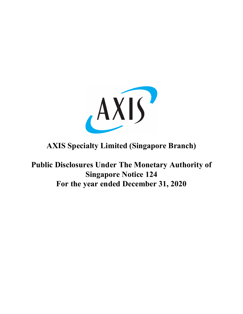

# **AXIS Specialty Limited (Singapore Branch)**

**Public Disclosures Under The Monetary Authority of Singapore Notice 124 For the year ended December 31, 2020**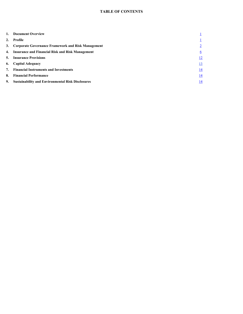| 1. | <b>Document Overview</b>                                 |            |
|----|----------------------------------------------------------|------------|
| 2. | Profile                                                  |            |
|    | 3. Corporate Governance Framework and Risk Management    |            |
|    | 4. Insurance and Financial Risk and Risk Management      | 6          |
|    | <b>5.</b> Insurance Provisions                           | <u>12</u>  |
|    | 6. Capital Adequacy                                      | <u>13</u>  |
|    | 7. Financial Instruments and Investments                 | <u>14</u>  |
| 8. | <b>Financial Performance</b>                             | <u>14</u>  |
| 9. | <b>Sustainability and Environmental Risk Disclosures</b> | <u> 14</u> |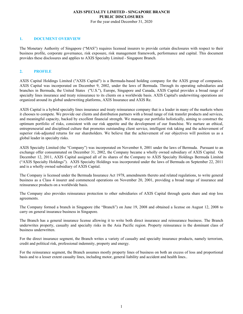For the year ended December 31, 2020

## <span id="page-2-0"></span>**1. DOCUMENT OVERVIEW**

The Monetary Authority of Singapore ("MAS") requires licensed insurers to provide certain disclosures with respect to their business profile, corporate governance, risk exposure, risk management framework, performance and capital. This document provides these disclosures and applies to AXIS Specialty Limited - Singapore Branch.

## **2. PROFILE**

AXIS Capital Holdings Limited ("AXIS Capital") is a Bermuda-based holding company for the AXIS group of companies. AXIS Capital was incorporated on December 9, 2002, under the laws of Bermuda. Through its operating subsidiaries and branches in Bermuda, the United States ("U.S."), Europe, Singapore and Canada, AXIS Capital provides a broad range of specialty lines insurance and treaty reinsurance to its clients on a worldwide basis. AXIS Capital's underwriting operations are organized around its global underwriting platforms, AXIS Insurance and AXIS Re.

AXIS Capital is a hybrid specialty lines insurance and treaty reinsurance company that is a leader in many of the markets where it chooses to compete. We provide our clients and distribution partners with a broad range of risk transfer products and services, and meaningful capacity, backed by excellent financial strength. We manage our portfolio holistically, aiming to construct the optimum portfolio of risks, consistent with our risk appetite and the development of our franchise. We nurture an ethical, entrepreneurial and disciplined culture that promotes outstanding client service, intelligent risk taking and the achievement of superior risk-adjusted returns for our shareholders. We believe that the achievement of our objectives will position us as a global leader in specialty risks.

AXIS Specialty Limited (the "Company") was incorporated on November 8, 2001 under the laws of Bermuda. Pursuant to an exchange offer consummated on December 31, 2002, the Company became a wholly owned subsidiary of AXIS Capital. On December 12, 2011, AXIS Capital assigned all of its shares of the Company to AXIS Specialty Holdings Bermuda Limited ("AXIS Specialty Holdings"). AXIS Specialty Holdings was incorporated under the laws of Bermuda on September 22, 2011 and is a wholly owned subsidiary of AXIS Capital.

The Company is licensed under the Bermuda Insurance Act 1978, amendments thereto and related regulations, to write general business as a Class 4 insurer and commenced operations on November 20, 2001, providing a broad range of insurance and reinsurance products on a worldwide basis.

The Company also provides reinsurance protection to other subsidiaries of AXIS Capital through quota share and stop loss agreements.

The Company formed a branch in Singapore (the "Branch") on June 19, 2008 and obtained a license on August 12, 2008 to carry on general insurance business in Singapore.

The Branch has a general insurance license allowing it to write both direct insurance and reinsurance business. The Branch underwrites property, casualty and specialty risks in the Asia Pacific region. Property reinsurance is the dominant class of business underwritten.

For the direct insurance segment, the Branch writes a variety of casualty and specialty insurance products, namely terrorism, credit and political risk, professional indemnity, property and energy.

For the reinsurance segment, the Branch assumes mostly property lines of business on both an excess of loss and proportional basis and to a lesser extent casualty lines, including motor, general liability and accident and health lines..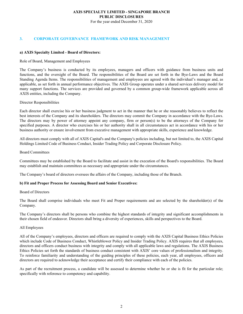#### **AXIS SPECIALTY LIMITED - SINGAPORE BRANCH PUBLIC DISCLOSURES** For the year ended December 31, 2020

## <span id="page-3-0"></span>**3. CORPORATE GOVERNANCE FRAMEWORK AND RISK MANAGEMENT**

#### **a) AXIS Specialty Limited - Board of Directors:**

#### Role of Board, Management and Employees

The Company's business is conducted by its employees, managers and officers with guidance from business units and functions, and the oversight of the Board. The responsibilities of the Board are set forth in the Bye-Laws and the Board Standing Agenda Items. The responsibilities of management and employees are agreed with the individual's manager and, as applicable, as set forth in annual performance objectives. The AXIS Group operates under a shared services delivery model for many support functions. The services are provided and governed by a common group-wide framework applicable across all AXIS entities, including the Company.

#### Director Responsibilities

Each director shall exercise his or her business judgment to act in the manner that he or she reasonably believes to reflect the best interests of the Company and its shareholders. The directors may commit the Company in accordance with the Bye-Laws. The directors may by power of attorney appoint any company, firm or person(s) to be the attorneys of the Company for specified purposes. A director who exercises his or her authority shall in all circumstances act in accordance with his or her business authority or ensure involvement from executive management with appropriate skills, experience and knowledge.

All directors must comply with all of AXIS Capital's and the Company's policies including, but not limited to, the AXIS Capital Holdings Limited Code of Business Conduct, Insider Trading Policy and Corporate Disclosure Policy.

#### Board Committees

Committees may be established by the Board to facilitate and assist in the execution of the Board's responsibilities. The Board may establish and maintain committees as necessary and appropriate under the circumstances.

The Company's board of directors oversees the affairs of the Company, including those of the Branch.

#### **b) Fit and Proper Process for Assessing Board and Senior Executives:**

#### Board of Directors

The Board shall comprise individuals who meet Fit and Proper requirements and are selected by the shareholder(s) of the Company.

The Company's directors shall be persons who combine the highest standards of integrity and significant accomplishments in their chosen field of endeavor. Directors shall bring a diversity of experiences, skills and perspectives to the Board.

#### All Employees

All of the Company's employees, directors and officers are required to comply with the AXIS Capital Business Ethics Policies which include Code of Business Conduct, Whistleblower Policy and Insider Trading Policy. AXIS requires that all employees, directors and officers conduct business with integrity and comply with all applicable laws and regulations. The AXIS Business Ethics Policies set forth the standards of business conduct consistent with AXIS' core values of professionalism and integrity. To reinforce familiarity and understanding of the guiding principles of these policies, each year, all employees, officers and directors are required to acknowledge their acceptance and certify their compliance with each of the policies.

As part of the recruitment process, a candidate will be assessed to determine whether he or she is fit for the particular role; specifically with reference to competency and capability.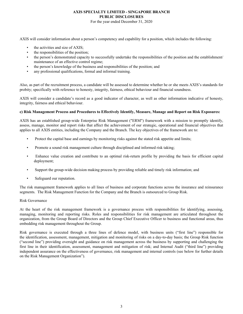For the year ended December 31, 2020

AXIS will consider information about a person's competency and capability for a position, which includes the following:

- the activities and size of AXIS;
- the responsibilities of the position;
- the person's demonstrated capacity to successfully undertake the responsibilities of the position and the establishment/ maintenance of an effective control regime;
- the person's knowledge of the business and responsibilities of the position; and
- any professional qualifications, formal and informal training.

Also, as part of the recruitment process, a candidate will be assessed to determine whether he or she meets AXIS's standards for probity; specifically with reference to honesty, integrity, fairness, ethical behaviour and financial soundness.

AXIS will consider a candidate's record as a good indicator of character, as well as other information indicative of honesty, integrity, fairness and ethical behaviour.

#### **c) Risk Management Process and Procedures to Effectively Identify, Measure, Manage and Report on Risk Exposures:**

AXIS has an established group-wide Enterprise Risk Management ("ERM") framework with a mission to promptly identify, assess, manage, monitor and report risks that affect the achievement of our strategic, operational and financial objectives that applies to all AXIS entities, including the Company and the Branch. The key objectives of the framework are to:

- Protect the capital base and earnings by monitoring risks against the stated risk appetite and limits;
- Promote a sound risk management culture through disciplined and informed risk taking;
- Enhance value creation and contribute to an optimal risk-return profile by providing the basis for efficient capital deployment;
- Support the group-wide decision making process by providing reliable and timely risk information; and
- Safeguard our reputation.

The risk management framework applies to all lines of business and corporate functions across the insurance and reinsurance segments. The Risk Management Function for the Company and the Branch is outsourced to Group Risk.

#### Risk Governance

At the heart of the risk management framework is a governance process with responsibilities for identifying, assessing, managing, monitoring and reporting risks. Roles and responsibilities for risk management are articulated throughout the organization, from the Group Board of Directors and the Group Chief Executive Officer to business and functional areas, thus embedding risk management throughout the Group.

Risk governance is executed through a three lines of defence model, with business units ("first line") responsible for the identification, assessment, management, mitigation and monitoring of risks on a day-to-day basis; the Group Risk function ("second line") providing oversight and guidance on risk management across the business by supporting and challenging the first line in their identification, assessment, management and mitigation of risk; and Internal Audit ("third line") providing independent assurance on the effectiveness of governance, risk management and internal controls (see below for further details on the Risk Management Organization").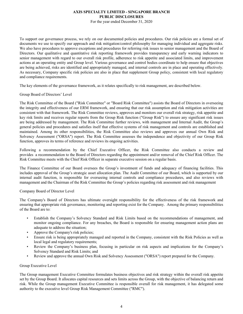For the year ended December 31, 2020

To support our governance process, we rely on our documented policies and procedures. Our risk policies are a formal set of documents we use to specify our approach and risk mitigation/control philosophy for managing individual and aggregate risks. We also have procedures to approve exceptions and procedures for referring risk issues to senior management and the Board of Directors. Our qualitative and quantitative risk reporting framework provides transparency and early warning indicators to senior management with regard to our overall risk profile, adherence to risk appetite and associated limits, and improvement actions at an operating entity and Group level. Various governance and control bodies coordinate to help ensure that objectives are being achieved, risks are identified and appropriately managed, and internal controls are in place and operating effectively. As necessary, Company specific risk policies are also in place that supplement Group policy, consistent with local regulatory and compliance requirements.

The key elements of the governance framework, as it relates specifically to risk management, are described below.

## Group Board of Directors' Level

The Risk Committee of the Board ("Risk Committee" or "Board Risk Committee") assists the Board of Directors in overseeing the integrity and effectiveness of our ERM framework, and ensuring that our risk assumption and risk mitigation activities are consistent with that framework. The Risk Committee reviews, approves and monitors our overall risk strategy, risk appetite and key risk limits and receives regular reports from the Group Risk function ("Group Risk") to ensure any significant risk issues are being addressed by management. The Risk Committee further reviews, with management and Internal Audit, the Group's general policies and procedures and satisfies itself that effective systems of risk management and controls are established and maintained. Among its other responsibilities, the Risk Committee also reviews and approves our annual Own Risk and Solvency Assessment ("ORSA") report. The Risk Committee assesses the independence and objectivity of our Group Risk function, approves its terms of reference and reviews its ongoing activities.

Following a recommendation by the Chief Executive Officer, the Risk Committee also conducts a review and provides a recommendation to the Board of Directors regarding the appointment and/or removal of the Chief Risk Officer. The Risk Committee meets with the Chief Risk Officer in separate executive session on a regular basis.

The Finance Committee of our Board oversees the Group's investment of funds and adequacy of financing facilities. This includes approval of the Group's strategic asset allocation plan. The Audit Committee of our Board, which is supported by our internal audit function, is responsible for overseeing internal controls and compliance procedures, and also reviews with management and the Chairman of the Risk Committee the Group's policies regarding risk assessment and risk management

#### Company Board of Director Level

The Company's Board of Directors has ultimate oversight responsibility for the effectiveness of the risk framework and ensuring that appropriate risk governance, monitoring and reporting exist for the Company. Among the primary responsibilities of the Board are to:

- Establish the Company's Solvency Standard and Risk Limits based on the recommendations of management, and monitor ongoing compliance. For any breaches, the Board is responsible for ensuring management action plans are adequate to address the situation;
- Approve the Company's risk policies;
- Ensure risk is being appropriately managed and reported in the Company, consistent with the Risk Policies as well as local legal and regulatory requirements;
- Review the Company's business plan, focusing in particular on risk aspects and implications for the Company's Solvency Standard and Risk Limits; and
- Review and approve the annual Own Risk and Solvency Assessment ("ORSA") report prepared for the Company.

#### Group Executive Level

The Group management Executive Committee formulates business objectives and risk strategy within the overall risk appetite set by the Group Board. It allocates capital resources and sets limits across the Group, with the objective of balancing return and risk. While the Group management Executive Committee is responsible overall for risk management, it has delegated some authority to the executive level Group Risk Management Committee ("RMC").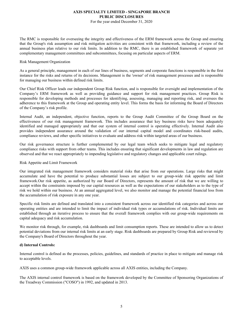For the year ended December 31, 2020

The RMC is responsible for overseeing the integrity and effectiveness of the ERM framework across the Group and ensuring that the Group's risk assumption and risk mitigation activities are consistent with that framework, including a review of the annual business plan relative to our risk limits. In addition to the RMC, there is an established framework of separate yet complementary management committees and subcommittees, focusing on particular aspects of ERM.

#### Risk Management Organization

As a general principle, management in each of our lines of business, segments and corporate functions is responsible in the first instance for the risks and returns of its decisions. Management is the 'owner' of risk management processes and is responsible for managing our business within defined risk limits.

Our Chief Risk Officer leads our independent Group Risk function, and is responsible for oversight and implementation of the Company's ERM framework as well as providing guidance and support for risk management practices. Group Risk is responsible for developing methods and processes for identifying, assessing, managing and reporting risk, and oversees the adherence to this framework at the Group and operating entity level. This forms the basis for informing the Board of Directors of the Company's risk profile.

Internal Audit, an independent, objective function, reports to the Group Audit Committee of the Group Board on the effectiveness of our risk management framework. This includes assurance that key business risks have been adequately identified and managed appropriately and that our system of internal control is operating effectively. Internal Audit also provides independent assurance around the validation of our internal capital model and coordinates risk-based audits, compliance reviews, and other specific initiatives to evaluate and address risk within targeted areas of our business.

Our risk governance structure is further complemented by our legal team which seeks to mitigate legal and regulatory compliance risks with support from other teams. This includes ensuring that significant developments in law and regulation are observed and that we react appropriately to impending legislative and regulatory changes and applicable court rulings.

#### Risk Appetite and Limit Framework

Our integrated risk management framework considers material risks that arise from our operations. Large risks that might accumulate and have the potential to produce substantial losses are subject to our group-wide risk appetite and limit framework.Our risk appetite, as authorized by our Board of Directors, represents the amount of risk that we are willing to accept within the constraints imposed by our capital resources as well as the expectations of our stakeholders as to the type of risk we hold within our business. At an annual aggregated level, we also monitor and manage the potential financial loss from the accumulation of risk exposure in any one year.

Specific risk limits are defined and translated into a consistent framework across our identified risk categories and across our operating entities and are intended to limit the impact of individual risk types or accumulations of risk. Individual limits are established through an iterative process to ensure that the overall framework complies with our group-wide requirements on capital adequacy and risk accumulation.

We monitor risk through, for example, risk dashboards and limit consumption reports. These are intended to allow us to detect potential deviations from our internal risk limits at an early stage. Risk dashboards are prepared by Group Risk and reviewed by the Company's Board of Directors throughout the year.

#### **d) Internal Controls:**

Internal control is defined as the processes, policies, guidelines, and standards of practice in place to mitigate and manage risk to acceptable levels.

AXIS uses a common group-wide framework applicable across all AXIS entities, including the Company.

The AXIS internal control framework is based on the framework developed by the Committee of Sponsoring Organizations of the Treadway Commission ("COSO") in 1992, and updated in 2013.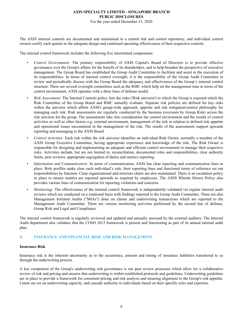For the year ended December 31, 2020

<span id="page-7-0"></span>The AXIS internal controls are documented and maintained in a central risk and control repository, and individual control owners certify each quarter to the adequate design and continued operating effectiveness of their respective controls.

The internal control framework includes the following five interrelated components:

- *Control Environment:* The primary responsibility of AXIS Capital's Board of Directors is to provide effective governance over the Group's affairs for the benefit of its shareholders, and to help broaden the perspective of executive management. The Group Board has established the Group Audit Committee to facilitate and assist in the execution of its responsibilities. In terms of internal control oversight, it is the responsibility of the Group Audit Committee to review and periodically discuss with the Group Board the adequacy and effectiveness of the Group's internal control structure. There are several oversight committees such as the RMC which help set the management tone in terms of the control environment. AXIS operates with a three lines of defense model.
- *Risk Assessment:* The Internal Controls policy lists the risks ('Risk universe') to which the Group is exposed which the Risk Committee of the Group Board and RMC annually evaluate. Separate risk policies are defined for key risks within the universe which affirm AXIS's group-wide approach, appetite and risk mitigation/control philosophy for managing each risk. Risk assessments are regularly conducted by the business (overseen by Group Risk) across the risk universe for the group. The assessments take into consideration the control environment and the results of control activities as well as other factors e.g. external environment, management of the risk in relation to defined risk appetite and operational issues encountered in the management of the risk. The results of the assessments support upwards reporting and messaging to the AXIS Board.
- *Control Activities:* Each risk within the risk universe identifies an individual Risk Owner, normally a member of the AXIS Group Executive Committee, having appropriate experience and knowledge of the risk. The Risk Owner is responsible for designing and implementing an adequate and efficient control environment to manage their respective risks. Activities include, but are not limited to, reconciliation, documented roles and responsibilities, clear authority limits, peer reviews, appropriate segregation of duties and metrics reporting.
- *Information and Communication:* In terms of communication, AXIS has clear reporting and communication lines in place. Role profiles make clear each individual's role, their reporting lines and functional terms of reference set out responsibilities by function. Clear organizational and structure charts are also maintained. There is an escalation policy in place to ensure matters are reported upwards as required by employees. The AXIS Whistle blower Policy also provides various lines of communication for reporting violations and concerns.
- *Monitoring:* The effectiveness of the internal control framework is independently validated via regular internal audit reviews which are conducted on a rotational basis with findings reported to the Group Audit Committee. There are also Management Initiated Audits ("MIAs") done on claims and underwriting transactions which are reported to the Management Audit Committee. There are various monitoring activities performed by the second line of defense, Group Risk and Legal and Compliance.

The internal control framework is regularly reviewed and updated and annually assessed by the external auditors. The Internal Audit department also validates that the COSO 2013 framework is present and functioning as part of its annual internal audit plan.

#### **4. INSURANCE AND FINANCIAL RISK AND RISK MANAGEMENT**

#### **Insurance Risk**

Insurance risk is the inherent uncertainty as to the occurrence, amount and timing of insurance liabilities transferred to us through the underwriting process.

A key component of the Group's underwriting risk governance is our peer review processes which allow for a collaborative review of risk and pricing and ensures that underwriting is within established protocols and guidelines. Underwriting guidelines are in place to provide a framework for consistent pricing and risk analysis and ensuring alignment to the Group's risk appetite. Limits are set on underwriting capacity, and cascade authority to individuals based on their specific roles and expertise.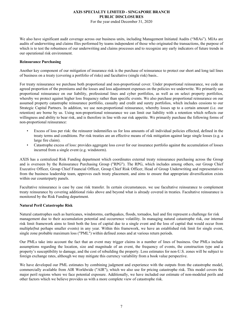For the year ended December 31, 2020

We also have significant audit coverage across our business units, including Management Initiated Audits ("MIAs"). MIAs are audits of underwriting and claims files performed by teams independent of those who originated the transactions, the purpose of which is to test the robustness of our underwriting and claims processes and to recognize any early indicators of future trends in our operational risk environment.

#### **Reinsurance Purchasing**

Another key component of our mitigation of insurance risk is the purchase of reinsurance to protect our short and long tail lines of business on a treaty (covering a portfolio of risks) and facultative (single risk) basis..

For treaty reinsurance we purchase both proportional and non-proportional cover. Under proportional reinsurance, we cede an agreed proportion of the premiums and the losses and loss adjustment expenses on the policies we underwrite. We primarily use proportional reinsurance on our liability, professional lines and cyber portfolios, as well as on select property portfolios, whereby we protect against higher loss frequency rather than specific events. We also purchase proportional reinsurance on our assumed property catastrophe reinsurance portfolio, casualty and credit and surety portfolios, which includes cessions to our Strategic Capital Partners. In addition, we use non-proportional reinsurance, whereby losses up to a certain amount (i.e. our retention) are borne by us. Using non-proportional reinsurance we can limit our liability with a retention which reflects our willingness and ability to bear risk, and is therefore in line with our risk appetite. We primarily purchase the following forms of non-proportional reinsurance:

- Excess of loss per risk: the reinsurer indemnifies us for loss amounts of all individual policies effected, defined in the treaty terms and conditions. Per risk treaties are an effective means of risk mitigation against large single losses (e.g. a large fire claim).
- Catastrophe excess of loss: provides aggregate loss cover for our insurance portfolio against the accumulation of losses incurred from a single event (e.g. windstorm).

AXIS has a centralized Risk Funding department which coordinates external treaty reinsurance purchasing across the Group and is overseen by the Reinsurance Purchasing Group ("RPG"). The RPG, which includes among others, our Group Chief Executive Officer, Group Chief Financial Officer, Group Chief Risk Officer, Head of Group Underwriting and representatives from the business leadership team, approves each treaty placement, and aims to ensure that appropriate diversification exists within our counterparty panels.

Facultative reinsurance is case by case risk transfer. In certain circumstances. we use facultative reinsurance to complement treaty reinsurance by covering additional risks above and beyond what is already covered in treaties. Facultative reinsurance is monitored by the Risk Funding department.

#### **Natural Peril Catastrophe Risk**

Natural catastrophes such as hurricanes, windstorms, earthquakes, floods, tornados, hail and fire represent a challenge for risk management due to their accumulation potential and occurrence volatility. In managing natural catastrophe risk, our internal risk limit framework aims to limit both the loss of capital due to a single event and the loss of capital that would occur from multiple(but perhaps smaller events) in any year. Within this framework, we have an established risk limit for single event, single zone probable maximum loss ("PML") within defined zones and at various return periods.

Our PMLs take into account the fact that an event may trigger claims in a number of lines of business. Our PMLs include assumptions regarding the location, size and magnitude of an event, the frequency of events, the construction type and a property's susceptibility to damage, and the cost of rebuilding the property. Loss estimates for non-U.S. zones will be subject to foreign exchange rates, although we may mitigate this currency variability from a book value perspective.

We have developed our PML estimates by combining judgment and experience with the outputs from the catastrophe model, commercially available from AIR Worldwide ("AIR"), which we also use for pricing catastrophe risk. This model covers the major peril regions where we face potential exposure. Additionally, we have included our estimate of non-modeled perils and other factors which we believe provides us with a more complete view of catastrophe risk.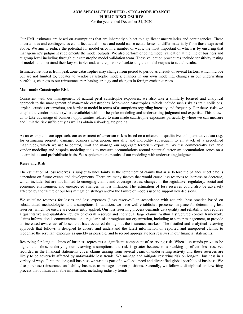For the year ended December 31, 2020

Our PML estimates are based on assumptions that are inherently subject to significant uncertainties and contingencies. These uncertainties and contingencies can affect actual losses and could cause actual losses to differ materially from those expressed above. We aim to reduce the potential for model error in a number of ways, the most important of which is by ensuring that management's judgment supplements the model outputs. We also perform ongoing model validation at the line of business and at group level including through our catastrophe model validation team. These validation procedures include sensitivity testing of models to understand their key variables and, where possible, backtesting the model outputs to actual results.

Estimated net losses from peak zone catastrophes may change from period to period as a result of several factors, which include but are not limited to, updates to vendor catastrophe models, changes in our own modeling, changes in our underwriting portfolios, changes to our reinsurance purchasing strategy and changes in foreign exchange rates.

#### **Man-made Catastrophe Risk**

Consistent with our management of natural peril catastrophe exposures, we also take a similarly focused and analytical approach to the management of man-made catastrophes. Man-made catastrophes, which include such risks as train collisions, airplane crashes or terrorism, are harder to model in terms of assumptions regarding intensity and frequency. For these risks we couple the vendor models (where available) with our bespoke modeling and underwriting judgment and expertise. This allows us to take advantage of business opportunities related to man-made catastrophe exposures particularly where we can measure and limit the risk sufficiently as well as obtain risk-adequate pricing.

As an example of our approach, our assessment of terrorism risk is based on a mixture of qualitative and quantitative data (e.g. for estimating property damage, business interruption, mortality and morbidity subsequent to an attack of a predefined magnitude), which we use to control, limit and manage our aggregate terrorism exposure. We use commercially available vendor modeling and bespoke modeling tools to measure accumulations around potential terrorism accumulation zones on a deterministic and probabilistic basis. We supplement the results of our modeling with underwriting judgment.

#### **Reserving Risk**

The estimation of loss reserves is subject to uncertainty as the settlement of claims that arise before the balance sheet date is dependent on future events and developments. There are many factors that would cause loss reserves to increase or decrease, which include, but are not limited to emerging claims and coverage issues, changes in the legislative, regulatory, social and economic environment and unexpected changes in loss inflation. The estimation of loss reserves could also be adversely affected by the failure of our loss mitigation strategy and/or the failure of models used to support key decisions.

We calculate reserves for losses and loss expenses ("loss reserves") in accordance with actuarial best practice based on substantiated methodologies and assumptions. In addition, we have well established processes in place for determining loss reserves, which we ensure are consistently applied. Our loss reserving process demands data quality and reliability and requires a quantitative and qualitative review of overall reserves and individual large claims. Within a structured control framework, claims information is communicated on a regular basis throughout our organization, including to senior management, to provide an increased awareness of losses that have occurred throughout the insurance markets. The detailed and analytical reserving approach that follows is designed to absorb and understand the latest information on reported and unreported claims, to recognize the resultant exposure as quickly as possible, and to record appropriate loss reserves in our financial statements.

Reserving for long-tail lines of business represents a significant component of reserving risk. When loss trends prove to be higher than those underlying our reserving assumptions, the risk is greater because of a stacking-up effect: loss reserves recorded in the financial statements cover claims arising from several years of underwriting activity and these reserves are likely to be adversely affected by unfavorable loss trends. We manage and mitigate reserving risk on long-tail business in a variety of ways. First, the long-tail business we write is part of a well-balanced and diversified global portfolio of business. We also purchase reinsurance on liability business to manage our net positions. Secondly, we follow a disciplined underwriting process that utilizes available information, including industry trends.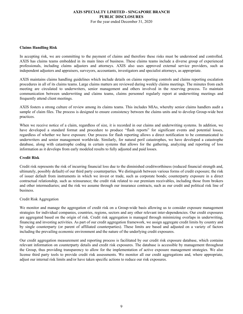#### **AXIS SPECIALTY LIMITED - SINGAPORE BRANCH PUBLIC DISCLOSURES** For the year ended December 31, 2020

**Claims Handling Risk**

In accepting risk, we are committing to the payment of claims and therefore these risks must be understood and controlled. AXIS has claims teams embedded in its main lines of business. These claims teams include a diverse group of experienced professionals, including claims adjusters and attorneys. AXIS also uses approved external service providers, such as independent adjusters and appraisers, surveyors, accountants, investigators and specialist attorneys, as appropriate.

AXIS maintains claims handling guidelines which include details on claims reporting controls and claims reporting escalation procedures in all of its claims teams. Large claims matters are reviewed during weekly claims meetings. The minutes from each meeting are circulated to underwriters, senior management and others involved in the reserving process. To maintain communication between underwriting and claims teams, claims personnel regularly report at underwriting meetings and frequently attend client meetings.

AXIS fosters a strong culture of review among its claims teams. This includes MIAs, whereby senior claims handlers audit a sample of claim files. The process is designed to ensure consistency between the claims units and to develop Group-wide best practices.

When we receive notice of a claim, regardless of size, it is recorded in our claims and underwriting systems. In addition, we have developed a standard format and procedure to produce "flash reports" for significant events and potential losses, regardless of whether we have exposure. Our process for flash reporting allows a direct notification to be communicated to underwriters and senior management worldwide. Similarly, for natural peril catastrophes, we have developed a catastrophe database, along with catastrophe coding in certain systems that allows for the gathering, analyzing and reporting of loss information as it develops from early modeled results to fully adjusted and paid losses.

#### **Credit Risk**

Credit risk represents the risk of incurring financial loss due to the diminished creditworthiness (reduced financial strength and, ultimately, possibly default) of our third party counterparties. We distinguish between various forms of credit exposure; the risk of issuer default from instruments in which we invest or trade, such as corporate bonds; counterparty exposure in a direct contractual relationship, such as reinsurance; the credit risk related to our premium receivables, including those from brokers and other intermediaries; and the risk we assume through our insurance contracts, such as our credit and political risk line of business.

#### Credit Risk Aggregation

We monitor and manage the aggregation of credit risk on a Group-wide basis allowing us to consider exposure management strategies for individual companies, countries, regions, sectors and any other relevant inter-dependencies. Our credit exposures are aggregated based on the origin of risk. Credit risk aggregation is managed through minimizing overlaps in underwriting, financing and investing activities. As part of our credit aggregation framework, we assign aggregate credit limits by country and by single counterparty (or parent of affiliated counterparties). These limits are based and adjusted on a variety of factors including the prevailing economic environment and the nature of the underlying credit exposures.

Our credit aggregation measurement and reporting process is facilitated by our credit risk exposure database, which contains relevant information on counterparty details and credit risk exposures. The database is accessible by management throughout the Group, thus providing transparency to allow for the implementation of active exposure management strategies. We also license third party tools to provide credit risk assessments. We monitor all our credit aggregations and, where appropriate, adjust our internal risk limits and/or have taken specific actions to reduce our risk exposures.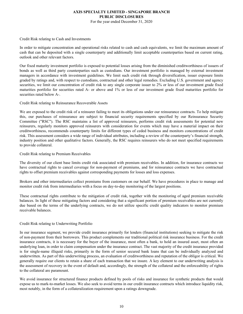For the year ended December 31, 2020

#### Credit Risk relating to Cash and Investments

In order to mitigate concentration and operational risks related to cash and cash equivalents, we limit the maximum amount of cash that can be deposited with a single counterparty and additionally limit acceptable counterparties based on current rating, outlook and other relevant factors.

Our fixed maturity investment portfolio is exposed to potential losses arising from the diminished creditworthiness of issuers of bonds as well as third party counterparties such as custodians. Our investment portfolio is managed by external investment managers in accordance with investment guidelines. We limit such credit risk through diversification, issuer exposure limits graded by ratings and, with respect to custodians, contractual and other legal remedies. Excluding U.S. government and agency securities, we limit our concentration of credit risk to any single corporate issuer to 2% or less of our investment grade fixed maturities portfolio for securities rated A- or above and 1% or less of our investment grade fixed maturities portfolio for securities rated below A-.

#### Credit Risk relating to Reinsurance Recoverable Assets

We are exposed to the credit risk of a reinsurer failing to meet its obligations under our reinsurance contracts. To help mitigate this, our purchases of reinsurance are subject to financial security requirements specified by our Reinsurance Security Committee ("RSC"). The RSC maintains a list of approved reinsurers, performs credit risk assessments for potential new reinsurers, regularly monitors approved reinsurers with consideration for events which may have a material impact on their creditworthiness, recommends counterparty limits for different types of ceded business and monitors concentrations of credit risk. This assessment considers a wide range of individual attributes, including a review of the counterparty's financial strength, industry position and other qualitative factors. Generally, the RSC requires reinsurers who do not meet specified requirements to provide collateral.

#### Credit Risk relating to Premium Receivables

The diversity of our client base limits credit risk associated with premium receivables. In addition, for insurance contracts we have contractual rights to cancel coverage for non-payment of premiums, and for reinsurance contracts we have contractual rights to offset premium receivables against corresponding payments for losses and loss expenses.

Brokers and other intermediaries collect premiums from customers on our behalf. We have procedures in place to manage and monitor credit risk from intermediaries with a focus on day-to-day monitoring of the largest positions.

These contractual rights contribute to the mitigation of credit risk, together with the monitoring of aged premium receivable balances. In light of these mitigating factors and considering that a significant portion of premium receivables are not currently due based on the terms of the underlying contracts, we do not utilize specific credit quality indicators to monitor premium receivable balances.

#### Credit Risk relating to Underwriting Portfolio

In our insurance segment, we provide credit insurance primarily for lenders (financial institutions) seeking to mitigate the risk of non-payment from their borrowers. This product complements our traditional political risk insurance business. For the credit insurance contracts, it is necessary for the buyer of the insurance, most often a bank, to hold an insured asset, most often an underlying loan, in order to claim compensation under the insurance contract. The vast majority of the credit insurance provided is for single-name illiquid risks, primarily in the form of senior secured bank loans that can be individually analyzed and underwritten. As part of this underwriting process, an evaluation of creditworthiness and reputation of the obligor is critical. We generally require our clients to retain a share of each transaction that we insure. A key element to our underwriting analysis is the assessment of recovery in the event of default and, accordingly, the strength of the collateral and the enforceability of rights to the collateral are paramount.

We avoid insurance for structured finance products defined by pools of risks and insurance for synthetic products that would expose us to mark-to-market losses. We also seek to avoid terms in our credit insurance contracts which introduce liquidity risk, most notably, in the form of a collateralization requirement upon a ratings downgrade.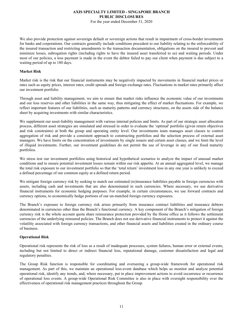For the year ended December 31, 2020

We also provide protection against sovereign default or sovereign actions that result in impairment of cross-border investments for banks and corporations. Our contracts generally include conditions precedent to our liability relating to the enforceability of the insured transaction and restricting amendments to the transaction documentation, obligations on the insured to prevent and minimize losses, subrogation rights (including rights to have the insured asset transferred to us) and waiting periods. Under most of our policies, a loss payment is made in the event the debtor failed to pay our client when payment is due subject to a waiting period of up to 180 days.

## **Market Risk**

Market risk is the risk that our financial instruments may be negatively impacted by movements in financial market prices or rates such as equity prices, interest rates, credit spreads and foreign exchange rates. Fluctuations in market rates primarily affect our investment portfolio.

Through asset and liability management, we aim to ensure that market risks influence the economic value of our investments and our loss reserves and other liabilities in the same way, thus mitigating the effect of market fluctuations. For example, we reflect important features of our liabilities, such as maturity patterns and currency structures, on the assets side of the balance sheet by acquiring investments with similar characteristics.

We supplement our asset-liability management with various internal policies and limits. As part of our strategic asset allocation process, different asset strategies are simulated and stressed in order to evaluate the 'optimal' portfolio (given return objectives and risk constraints) at both the group and operating entity level. Our investments team manages asset classes to control aggregation of risk and provide a consistent approach to constructing portfolios and the selection process of external asset managers. We have limits on the concentration of investments by single issuers and certain asset classes, and we limit the level of illiquid investments. Further, our investment guidelines do not permit the use of leverage in any of our fixed maturity portfolios.

We stress test our investment portfolios using historical and hypothetical scenarios to analyze the impact of unusual market conditions and to ensure potential investment losses remain within our risk appetite. At an annual aggregated level, we manage the total risk exposure to our investment portfolio so that the 'total return' investment loss in any one year is unlikely to exceed a defined percentage of our common equity at a defined return period.

We mitigate foreign currency risk by seeking to match our estimated (re)insurance liabilities payable in foreign currencies with assets, including cash and investments that are also denominated in such currencies. Where necessary, we use derivative financial instruments for economic hedging purposes. For example, in certain circumstances, we use forward contracts and currency options, to economically hedge portions of our un-matched foreign currency exposures.

The Branch's exposure to foreign currency risk arises primarily from insurance contract liabilities and insurance debtors denominated in currencies other than the Branch's functional currency. A key component of the Branch's mitigation of foreign currency risk is the whole account quota share reinsurance protection provided by the Home office as it follows the settlement currencies of the underlying reinsured policies. The Branch does not use derivative financial instruments to protect it against the volatility associated with foreign currency transactions, and other financial assets and liabilities created in the ordinary course of business.

#### **Operational Risk**

Operational risk represents the risk of loss as a result of inadequate processes, system failures, human error or external events, including but not limited to direct or indirect financial loss, reputational damage, customer dissatisfaction and legal and regulatory penalties.

The Group Risk function is responsible for coordinating and overseeing a group-wide framework for operational risk management. As part of this, we maintain an operational loss-event database which helps us monitor and analyze potential operational risk, identify any trends, and, where necessary, put in place improvement actions to avoid occurrence or recurrence of operational loss events. A group-wide Operational Risk Committee is also in place with oversight responsibility over the effectiveness of operational risk management practices throughout the Group.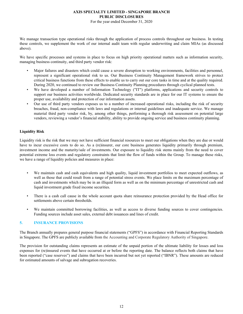For the year ended December 31, 2020

<span id="page-13-0"></span>We manage transaction type operational risks through the application of process controls throughout our business. In testing these controls, we supplement the work of our internal audit team with regular underwriting and claim MIAs (as discussed above).

We have specific processes and systems in place to focus on high priority operational matters such as information security, managing business continuity, and third party vendor risk:

- Major failures and disasters which could cause a severe disruption to working environments, facilities and personnel, represent a significant operational risk to us. Our Business Continuity Management framework strives to protect critical business functions from these effects to enable us to carry out our core tasks in time and at the quality required. During 2020, we continued to review our Business Continuity Planning procedures through cyclical planned tests.
- We have developed a number of Information Technology ("IT") platforms, applications and security controls to support our business activities worldwide. Dedicated security standards are in place for our IT systems to ensure the proper use, availability and protection of our information assets.
- Our use of third party vendors exposes us to a number of increased operational risks, including the risk of security breaches, fraud, non-compliance with laws and regulations or internal guidelines and inadequate service. We manage material third party vendor risk, by, among other things, performing a thorough risk assessment on potential large vendors, reviewing a vendor's financial stability, ability to provide ongoing service and business continuity planning.

# **Liquidity Risk**

Liquidity risk is the risk that we may not have sufficient financial resources to meet our obligations when they are due or would have to incur excessive costs to do so. As a (re)insurer, our core business generates liquidity primarily through premium, investment income and the maturity/sale of investments. Our exposure to liquidity risk stems mainly from the need to cover potential extreme loss events and regulatory constraints that limit the flow of funds within the Group. To manage these risks, we have a range of liquidity policies and measures in place:

- We maintain cash and cash equivalents and high quality, liquid investment portfolios to meet expected outflows, as well as those that could result from a range of potential stress events. We place limits on the maximum percentage of cash and investments which may be in an illiquid form as well as on the minimum percentage of unrestricted cash and liquid investment grade fixed income securities.
- There is a cash call cause in the whole account quota share reinsurance protection provided by the Head office for settlements above certain thresholds.
- We maintain committed borrowing facilities, as well as access to diverse funding sources to cover contingencies. Funding sources include asset sales, external debt issuances and lines of credit.

# **5. INSURANCE PROVISIONS**

The Branch annually prepares general purpose financial statements ("GPFS") in accordance with Financial Reporting Standards in Singapore. The GPFS are publicly available from the Accounting and Corporate Regulatory Authority of Singapore.

The provision for outstanding claims represents an estimate of the unpaid portion of the ultimate liability for losses and loss expenses for (re)insured events that have occurred at or before the reporting date. The balance reflects both claims that have been reported ("case reserves") and claims that have been incurred but not yet reported ("IBNR"). These amounts are reduced for estimated amounts of salvage and subrogation recoveries.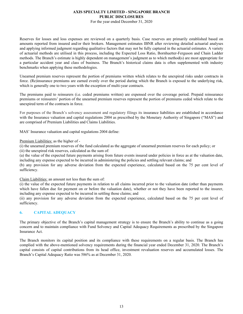For the year ended December 31, 2020

Reserves for losses and loss expenses are reviewed on a quarterly basis. Case reserves are primarily established based on amounts reported from insured and/or their brokers. Management estimates IBNR after reviewing detailed actuarial analyses and applying informed judgment regarding qualitative factors that may not be fully captured in the actuarial estimates. A variety of actuarial methods are utilised in this process, including the Expected Loss Ratio, Bornhuetter-Ferguson and Chain Ladder methods. The Branch's estimate is highly dependent on management's judgment as to which method(s) are most appropriate for a particular accident year and class of business. The Branch's historical claims data is often supplemented with industry benchmarks when applying these methodologies.

Unearned premium reserves represent the portion of premiums written which relates to the unexpired risks under contracts in force. (Re)insurance premiums are earned evenly over the period during which the Branch is exposed to the underlying risk, which is generally one to two years with the exception of multi-year contracts.

The premiums paid to reinsurers (i.e. ceded premiums written) are expensed over the coverage period. Prepaid reinsurance premiums or reinsurers' portion of the unearned premium reserves represent the portion of premiums ceded which relate to the unexpired term of the contracts in force.

For purposes of the Branch's solvency assessment and regulatory filings its insurance liabilities are established in accordance with the Insurance valuation and capital regulations 2004 as prescribed by the Monetary Authority of Singapore ("MAS") and are comprised of Premium Liabilities and Claims Liabilities.

MAS' Insurance valuation and capital regulations 2004 define:

Premium Liabilities: as the higher of -

(i) the unearned premium reserves of the fund calculated as the aggregate of unearned premium reserves for each policy; or

(ii) the unexpired risk reserves, calculated as the sum of:

(a) the value of the expected future payments arising from future events insured under policies in force as at the valuation date, including any expense expected to be incurred in administering the policies and settling relevant claims; and

(b) any provision for any adverse deviation from the expected experience, calculated based on the 75 per cent level of sufficiency.

Claim Liabilities: an amount not less than the sum of:

(i) the value of the expected future payments in relation to all claims incurred prior to the valuation date (other than payments which have fallen due for payment on or before the valuation date), whether or not they have been reported to the insurer, including any expense expected to be incurred in settling those claims; and

(ii) any provision for any adverse deviation from the expected experience, calculated based on the 75 per cent level of sufficiency.

# **6. CAPITAL ADEQUACY**

The primary objective of the Branch's capital management strategy is to ensure the Branch's ability to continue as a going concern and to maintain compliance with Fund Solvency and Capital Adequacy Requirements as prescribed by the Singapore Insurance Act.

The Branch monitors its capital position and its compliance with these requirements on a regular basis. The Branch has complied with the above-mentioned solvency requirements during the financial year ended December 31, 2020. The Branch's capital consists of capital contributions from its head office, investment revaluation reserves and accumulated losses. The Branch's Capital Adequacy Ratio was 586% as at December 31, 2020.